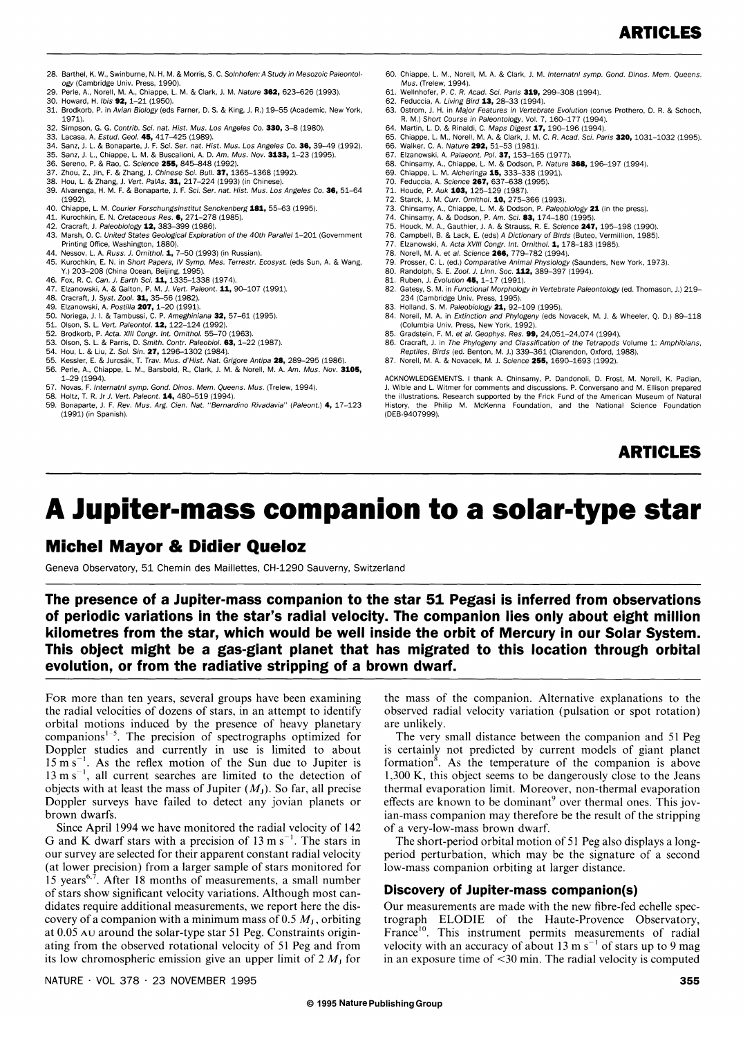- 28. Barthel, K. W., Swinburne, N. H. M. & Morris, S. C. Solnhofen: A Study in Mesozoic Paleontol· ogy (Cambridge Univ. Press, 1990).
- egy (cambridge chin 11000, 2000).<br>Perle, A., Norell, M. A., Chiappe, L. M. & Clark, J. M. Nature 362, 623–626 (1993). 30. Howard, H. Ibis 92, 1-21 (1950).
- 31. Brodkorb, P. in Avian Biology (eds Farner, D. S. & King, J. R.) 19-55 (Academic, New York, 1971).
- 32. Simpson, G. G. Contrib. Sci. nat. Hist. Mus. Los Angeles Co. 330, 3-6 (1980).
- 33. Lacasa, A. Estud. Geol. 45, 417-425 (1989).
- Sanz, J. L. & Bonaparte, J. F. Sci. Ser. nat. Hist. Mus. Los Angeles Co. 36, 39-49 (1992).
- 35. Sanz, J. L., Chiappe, L. M. & Buscalioni, A. D. *Am. Mus. Nov*. **3133,** 1–23 (1995).<br>36. Sereno, P. & Rao, C. Science **255,** 845–848 (1992).
- 2hou, Z., Jin, F. & Zhang, J. Chinese Sci. Bull. 37, 1365-1368 (1992).
- 
- 38. Hou, L. & Zhang, J. Vert. PalAs. **31,** 217–224 (1993) (in Chinese).<br>39. Alvarenga, H. M. F. & Bonaparte, J. F. Sci. Ser. nat. Hist. Mus. Los Angeles Co. **36,** 51–64 (1992).
- 40. Chiappe, L. M. Courier Forschungsinstitut Senckenberg **181,** 55–63 (1995).<br>41. Kurochkin, E. N. Cretaceous Res. **6,** 271–278 (1985).
- 
- 42. Cracraft, J. Paleobiology 12, 383-399 (1986).
- 43. Marsh, O. C. United States Geological Exploration of the 40th Parallel 1-201 (Government Printing Office, Washington, 1880).
- 44. Nessov, L. A. Russ. J. Ornithol. 1, 7-50 (1993) (in Russian). 45. Kurochkin, E. N. in Short Papers, IV Symp. Mes. Terrestr. Ecosyst. (eds Sun, A. & Wang, Y.) 203-208 (China Ocean, Beijing, 1995).
- 
- 46. Fox, R. C. *Can. J. Earth Sci*. **11,** 1335–1338 (1974).<br>47. Elzanowski, A. & Galton, P. M. *J. Vert. Paleont.* **11,** 90–107 (1991).
- Cracraft, J. Syst. Zool. **31,** 35-56 (1982).
- 
- 49. Elzanowski, A. *Postilla* **207,** 1–20 (1991).<br>50. Noriega, J. I. & Tambussi, C. P. *Ameghiniana* **32,** 57–61 (1995).
- Olson, S. L. Vert. Paleontol. 12, 122-124 (1992)
- 52. Brodkorb, P. Acta. XIII Congr. Int. Ornithol. 55–70 (1963).<br>53. Olson, S. L. & Parris, D. Smith. Contr. Paleobiol. **63,** 1–22 (1987).
- 
- Hou, L. & Liu, Z. Sci. Sin. 27, 1296-1302 (1984)
- 55. Kessler, E. & Jurcsák, T. Trav. Mus. d'Hist. Nat. Grigore Antipa 28, 289-295 (1986). 56. Perle, A., Chiappe, L. M., Barsbold, R., Clark, J. M. & Norell, M. A. Am. Mus. Nov. *3105,*  1-29 (1994).
- 57. Novas, F. Internatnl symp. Gond. Dinos. Mem. Queens. Mus. (Trelew, 1994).
- 58. Holtz, T. R. Jr J. Vert. Paleont. 14, 480-519 (1994).
- 59. Bonaparte, J. F. Rev. Mus. Arg. Cien. Nat. "Bernardino Rivadavia" (Paleont.) 4,17-123 (1991) (in Spanish).
- 60. Chiappe, L. M., Norell, M. A. & Clark, J. M. Internatnl symp. Gond. Dinos. Mem. Queens. Mus. (Trelew, 1994).
- Wellnhofer, P. C. R. Acad. Sci. Paris 319, 299-308 (1994).
- 62. Feduccia, A. Living Bird 13, 26-33 (1994).
- 63. Ostrom, J. H. in Major Features in Vertebrate Evolution (convs Prothero, D. R. & Schoch, R. M.) Short Course in Paleontology, Vol. 7, 160-177 (1994).
- 64. Martin, L. D. & Rinaldi, C. Maps Digest 17,190-196 (1994).
- 65. Chiappe, L. M., Norell, M. A. & Clark, J. M. C. R. Acad. Sci. Paris **320,** 1031-1032 (1995).<br>66. Walker. C. A. Nature **292.** 51-53 (1981). Walker, C. A. Nature 292, 51-53 (1981).
- 67. Elzanowski, A. Palaeont. Pol. 37, 153-165 (1977).
- 68. Chinsamy, A., Chianne, L. M. & Dodson, P. Nature 368, 196-197 (1994).
- 69. Chiappe, L. M. Alcheringa 15, 333-338 (1991).
- 70. Feduccia, A. Science **267,** 637–638 (1995).<br>71. Houde, P. Auk **103,** 125–129 (1987).
- 72. Starck, J. M. Curr. Ornithol. 10, 275–366 (1993).
- 
- 73. Chinsamy, A., Chiappe, L. M. & Dodson, P. *Paleobiology* **21** (in the press).<br>74. Chinsamy, A. & Dodson, P. A*m*. Sci. **83,** 174–180 (1995).
- 75. Houck, M. A., Gauthier. J. A. & Strauss, R. E. Science 247, 195-198 (1990).
- 76. Campbell, B. & Lack, E. (eds) A Dictionary of Birds (Buteo, Vermillion, 1985). Elzanowski, A. Acta XVIII Congr. Int. Ornithol. 1, 178–183 (1985).
- 78. Norell, M. A. et al. Science 288, 779-782 (1994).
- 
- 79. Prosser, C. L. (ed.) Comparative Animal Physiology (Saunders, New York, 1973).<br>80. Randolph, S. E. Zool. J. Linn. Soc. **112,** 389–397 (1994).
- 81. Ruben, J. Evolution 45, 1-17 (1991).
- 82. Gatesy, S. M. in Functional Morphology in Vertebrate Paleontology (ed. Thomason, J.) 219-234 (Cambridge Univ. Press, 1995).
- 
- 83. Holland, S. M. Paleobiology 21, 92–109 (1995).<br>84. Norell, M. A. in Extinction and Phylogeny (eds Novacek, M. J. & Wheeler, Q. D.) 89–118 (Columbia Univ. Press, New York, 1992).
- 
- 85. Gradstein, F. M. et al. Geophys. Res. **99,** 24,051–24,074 (1994).<br>86. Cracraft, J. in The Phylogeny and Cla*ssification of the Tetrapods Volume 1: Amphibians,*<br>Reptiles, Birds (ed. Benton, M. J.) 339–361 (Clarendon, Ox
- 87. Norell, M. A. & Novacek, M. J. Science 255, 1690-1693 (1992).

ACKNOWLEDGEMENTS. I thank A. Chinsamy, P. Dandonoli, D. Frost, M. Norell, K. Padian, J. Wible and L. Witmer for comments and discussions. P. Conversano and M. Ellison prepared the illustrations. Research supported by the Frick Fund of the American Museum of Natural the Philip M. McKenna Foundation, and the National Science Foundation (DEB·9407999).

**ARTICLES** 

# **A Jupiter-mass companion to a solar-type star**

### **Michel Mayor Be Didier Queloz**

Geneva Observatory, 51 Chemin des Maillettes, CH·1290 Sauverny, Switzerland

**The presence of a Jupiter-mass companion to the star 51 Pegasi is inferred from observations of periodic variations in the star's radial velocity. The companion lies only about eight million kilometres from the star, which would be well inside the orbit of Mercury in our Solar System. This object might be a gas-giant planet that has migrated to this location through orbital evolution, or from the radiative stripping of a brown dwarf.** 

FOR more than ten years, several groups have been examining the radial velocities of dozens of stars, in an attempt to identify orbital motions induced by the presence of heavy planetary companions<sup> $1-5$ </sup>. The precision of spectrographs optimized for Doppler studies and currently in use is limited to about  $15 \text{ m s}^{-1}$ . As the reflex motion of the Sun due to Jupiter is  $13 \text{ m s}^{-1}$ , all current searches are limited to the detection of objects with at least the mass of Jupiter  $(M<sub>J</sub>)$ . So far, all precise Doppler surveys have failed to detect any jovian planets or brown dwarfs.

Since April 1994 we have monitored the radial velocity of 142 G and K dwarf stars with a precision of  $13 \text{ m s}^{-1}$ . The stars in our survey are selected for their apparent constant radial velocity (at lower precision) from a larger sample of stars monitored for 15 years<sup>6,7</sup>. After 18 months of measurements, a small number of stars show significant velocity variations. Although most candidates require additional measurements, we report here the discovery of a companion with a minimum mass of  $0.5 M<sub>J</sub>$ , orbiting at 0.05 AU around the solar-type star 51 Peg. Constraints originating from the observed rotational velocity of 51 Peg and from its low chromospheric emission give an upper limit of  $2 M<sub>J</sub>$  for

the mass of the companion. Alternative explanations to the observed radial velocity variation (pulsation or spot rotation) are unlikely.

The very small distance between the companion and 51 Peg is certainly not predicted by current models of giant planet formation $\delta$ . As the temperature of the companion is above 1,300 K, this object seems to be dangerously close to the Jeans thermal evaporation limit. Moreover, non-thermal evaporation effects are known to be dominant<sup>9</sup> over thermal ones. This jovian-mass companion may therefore be the result of the stripping of a very-low-mass brown dwarf.

The short-period orbital motion of 51 Peg also displays a longperiod perturbation, which may be the signature of a second low-mass companion orbiting at larger distance.

#### **Discovery of Jupiter-mass companion(s)**

Our measurements are made with the new fibre-fed echelle spectrograph ELODIE of the Haute-Provence Observatory, France<sup>10</sup>. This instrument permits measurements of radial velocity with an accuracy of about 13 m  $s^{-1}$  of stars up to 9 mag in an exposure time of <30 min. The radial velocity is computed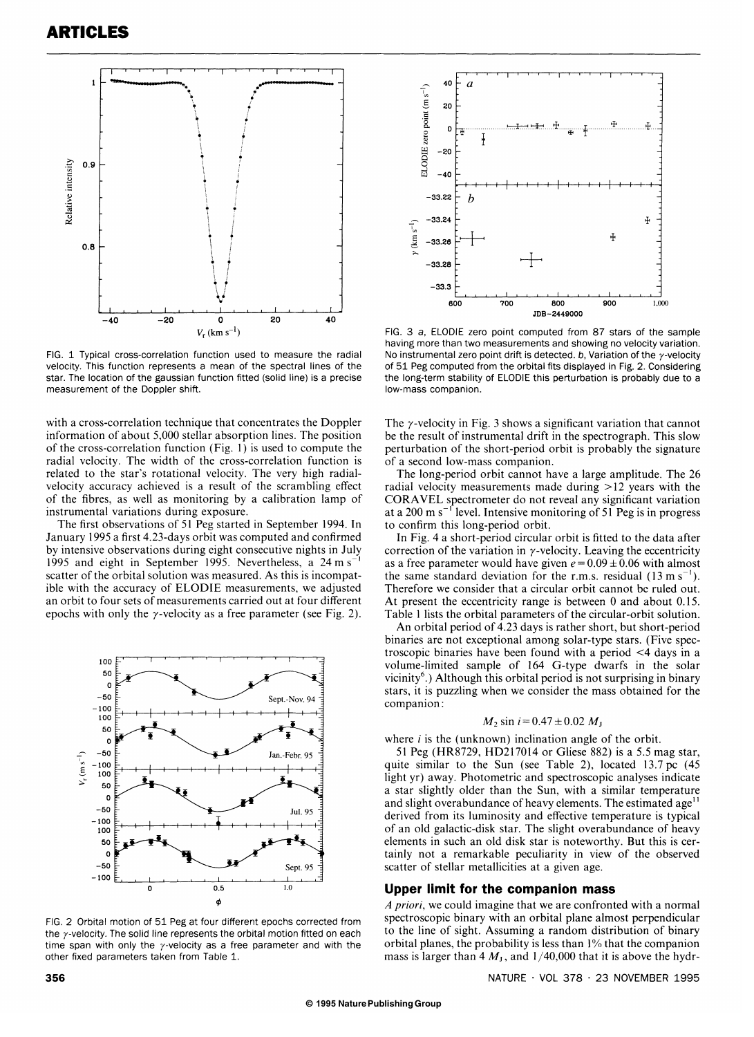

FIG. 1 Typical cross-correlation function used to measure the radial velocity. This function represents a mean of the spectral lines of the star. The location of the gaussian function fitted (solid line) is a precise measurement of the Doppler shift.

with a cross-correlation technique that concentrates the Doppler information of about 5,000 stellar absorption lines. The position of the cross-correlation function (Fig. 1) is used to compute the radial velocity. The width of the cross-correlation function is related to the star's rotational velocity. The very high radialvelocity accuracy achieved is a result of the scrambling effect of the fibres, as well as monitoring by a calibration lamp of instrumental variations during exposure.

The first observations of 51 Peg started in September 1994. In January 1995 a first 4.23-days orbit was computed and confirmed by intensive observations during eight consecutive nights in July 1995 and eight in September 1995. Nevertheless, a 24 m s<sup>-</sup> scatter of the orbital solution was measured. As this is incompatible with the accuracy of ELODIE measurements, we adjusted an orbit to four sets of measurements carried out at four different epochs with only the  $\gamma$ -velocity as a free parameter (see Fig. 2).



the  $\gamma$ -velocity. The solid line represents the orbital motion fitted on each time span with only the  $\gamma$ -velocity as a free parameter and with the other fixed parameters taken from Table 1.



FIG. 3 a, ELODIE zero point computed from 87 stars of the sample having more than two measurements and showing no velocity variation. No instrumental zero point drift is detected. b. Variation of the  $\nu$ -velocity of 51 Peg computed from the orbital fits displayed in Fig. 2. Considering the long-term stability of ELODIE this perturbation is probably due to a low-mass companion.

The  $\gamma$ -velocity in Fig. 3 shows a significant variation that cannot be the result of instrumental drift in the spectrograph. This slow perturbation of the short-period orbit is probably the signature of a second low-mass companion.

The long-period orbit cannot have a large amplitude. The 26 radial velocity measurements made during  $> 12$  years with the CORA VEL spectrometer do not reveal any significant variation at a 200 m s<sup>-1</sup> level. Intensive monitoring of 51 Peg is in progress to confirm this long-period orbit.

In Fig. 4 a short-period circular orbit is fitted to the data after correction of the variation in  $\gamma$ -velocity. Leaving the eccentricity as a free parameter would have given  $e = 0.09 \pm 0.06$  with almost the same standard deviation for the r.m.s. residual  $(13 \text{ m s}^{-1})$ . Therefore we consider that a circular orbit cannot be ruled out. At present the eccentricity range is between 0 and about 0.15. Table 1 lists the orbital parameters of the circular-orbit solution.

An orbital period of 4.23 days is rather short, but short-period binaries are not exceptional among solar-type stars. (Five spectroscopic binaries have been found with a period <4 days in a volume-limited sample of 164 G-type dwarfs in the solar vicinity<sup>6</sup>.) Although this orbital period is not surprising in binary stars, it is puzzling when we consider the mass obtained for the companion:

$$
M_2 \sin i = 0.47 \pm 0.02 M_J
$$

where  $i$  is the (unknown) inclination angle of the orbit.

51 Peg (HR8729, HD217014 or Gliese 882) is a 5.5 mag star, quite similar to the Sun (see Table 2), located 13.7 pc (45 light yr) away. Photometric and spectroscopic analyses indicate a star slightly older than the Sun, with a similar temperature and slight overabundance of heavy elements. The estimated age<sup>11</sup> derived from its luminosity and effective temperature is typical of an old galactic-disk star. The slight overabundance of heavy elements in such an old disk star is noteworthy. But this is certainly not a remarkable peculiarity in view of the observed scatter of stellar metallicities at a given age.

#### **Upper limit for the companion mass**

*A priori,* we could imagine that we are confronted with a normal spectroscopic binary with an orbital plane almost perpendicular to the line of sight. Assuming a random distribution of binary orbital planes, the probability is less than 1 % that the companion mass is larger than 4  $M<sub>J</sub>$ , and 1/40,000 that it is above the hydr-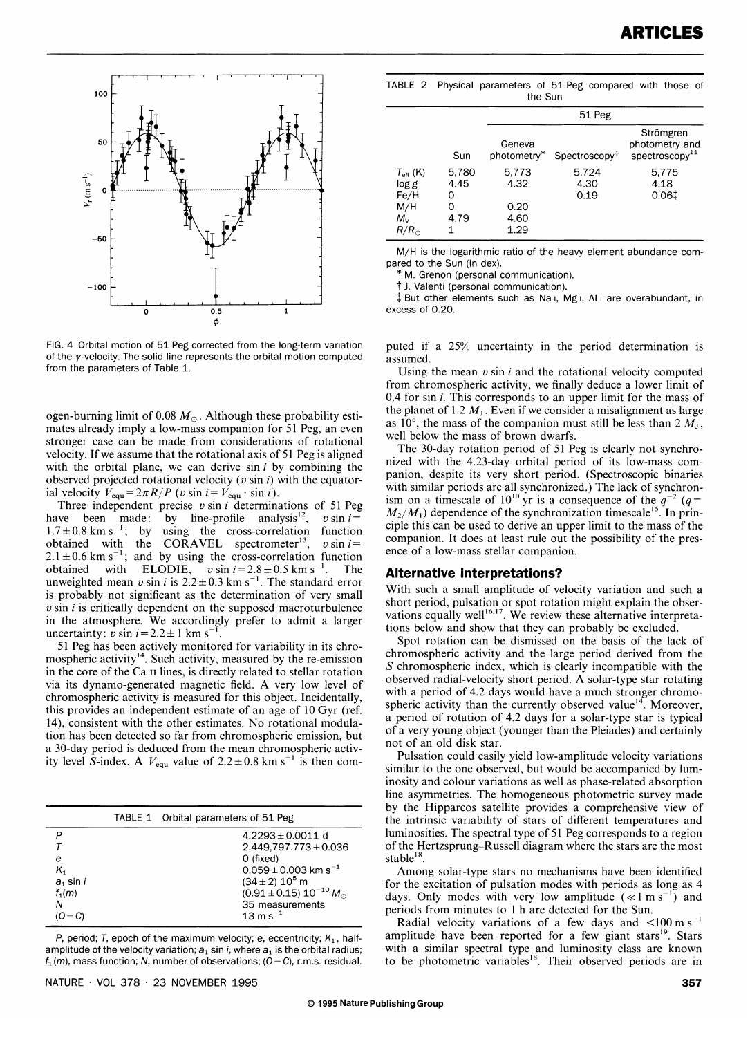

FIG. 4 Orbital motion of 51 Peg corrected from the long-term variation of the  $\nu$ -velocity. The solid line represents the orbital motion computed from the parameters of Table 1.

ogen-burning limit of 0.08  $M_{\odot}$ . Although these probability estimates already imply a low-mass companion for 51 Peg, an even stronger case can be made from considerations of rotational velocity. If we assume that the rotational axis of 51 Peg is aligned with the orbital plane, we can derive  $sin i$  by combining the observed projected rotational velocity *(v* sin i) with the equatorial velocity  $V_{\text{equ}} = 2\pi R/P$  (v sin  $i = V_{\text{equ}} \cdot \sin i$ ).

Three indepcndent precise *v* sin i determinations of 51 Peg have been made: by line-profile analysis<sup>12</sup>,  $v \sin i =$  $1.7 \pm 0.8$  km s<sup>-1</sup>; by using the cross-correlation function obtained with the CORAVEL spectrometer<sup>13</sup>,  $v \sin i =$  $2.1 \pm 0.6$  km s<sup>-1</sup>; and by using the cross-correlation function obtained with ELODIE,  $v \sin i = 2.8 \pm 0.5$  km s<sup>-1</sup>. The unweighted mean  $v \sin i$  is  $2.2 \pm 0.3$  km s<sup>-1</sup>. The standard error is probably not significant as the determination of very small  $v \sin i$  is critically dependent on the supposed macroturbulence in the atmosphere. We accordingly prefer to admit a larger uncertainty:  $v \sin i = 2.2 \pm 1 \text{ km s}^{-1}$ 

51 Peg has been actively monitored for variability in its chromospheric activity<sup>14</sup>. Such activity, measured by the re-emission in the core of the Ca II lines, is directly related to stellar rotation via its dynamo-generated magnetic field. A very low level of chromospheric activity is measured for this object. Incidentally, this provides an independent estimate of an age of  $10 \text{ Gyr}$  (ref. 14), consistent with the other estimates. No rotational modulation has been detected so far from chromospheric emission, but a 30-day period is deduced from the mean chromospheric activity level S-index. A  $V_{\text{equ}}$  value of  $2.2 \pm 0.8$  km s<sup>-1</sup> is then com-

|             | TABLE 1 Orbital parameters of 51 Peg |
|-------------|--------------------------------------|
|             | $4.2293 \pm 0.0011$ d                |
|             | $2,449,797.773 \pm 0.036$            |
| е           | $O$ (fixed)                          |
|             | $0.059 \pm 0.003$ km s <sup>-1</sup> |
| $a_1$ sin i | $(34 \pm 2) 10^5$ m                  |
| $f_1(m)$    | $(0.91 \pm 0.15) 10^{-10} M_{\odot}$ |
|             | 35 measurements                      |
|             | $13 \text{ m s}^{-1}$                |

P, period; T, epoch of the maximum velocity; e, eccentricity;  $K_1$ , halfamplitude of the velocity variation;  $a_1$  sin *i*, where  $a_1$  is the orbital radius;  $f_1(m)$ , mass function; N, number of observations; (O – C), r.m.s. residual.

|  | TABLE 2 Physical parameters of 51 Peg compared with those of |         |  |  |
|--|--------------------------------------------------------------|---------|--|--|
|  |                                                              | the Sun |  |  |

|                                                                           |                                      | 51 Peg                                |                           |                                                              |  |  |
|---------------------------------------------------------------------------|--------------------------------------|---------------------------------------|---------------------------|--------------------------------------------------------------|--|--|
|                                                                           | Sun                                  | Geneva<br>photometry*                 | Spectroscopy <sup>†</sup> | Strömgren<br>photometry and<br>$s$ pectroscopy <sup>11</sup> |  |  |
| $T_{\rm eff}$ (K)<br>log g<br>Fe/H<br>M/H<br>$M_{\rm v}$<br>$R/R_{\odot}$ | 5,780<br>4.45<br>0<br>0<br>4.79<br>1 | 5.773<br>4.32<br>0.20<br>4.60<br>1.29 | 5.724<br>4.30<br>0.19     | 5,775<br>4.18<br>0.06 <sup>†</sup>                           |  |  |

M/H is the logarithmic ratio of the heavy element abundance compared to the Sun (in dex).

\* M. Grenon (personal communication).

t J. Valenti (personal communication).

 $\ddagger$  But other elements such as Na I, Mg I, Al I are overabundant, in excess of 0.20.

puted if a  $25%$  uncertainty in the period determination is assumed.

Using the mean *v* sin i and the rotational velocity computed from chromospheric activity, we finally deduce a lower limit of 0.4 for sin i. This corresponds to an upper limit for the mass of the planet of 1.2  $M<sub>1</sub>$ . Even if we consider a misalignment as large as 10°, the mass of the companion must still be less than  $2 M_{\rm J}$ , well below the mass of brown dwarfs.

. The 30-day rotation period of 51 Peg is clearly not synchronized with the 4.23-day orbital period of its low-mass companion, despite its very short period. (Spectroscopic binaries with similar periods are all synchronized.) The lack of synchronism on a timescale of  $10^{10}$  yr is a consequence of the  $q^{-2}$  ( $q =$  $M_2/M_1$ ) dependence of the synchronization timescale<sup>15</sup>. In principle this can be used to derive an upper limit to the mass of the companion. It does at least rule out the possibility of the presence of a low-mass stellar companion.

#### **Alternative interpretations?**

With such a small amplitude of velocity variation and such a short period, pulsation or spot rotation might explain the observations equally well $16,17$ . We review these alternative interpretations below and show that they can probably be excluded.

Spot rotation can be dismissed on the basis of the lack of chromo spheric activity and the large period derived from the S chromospheric index, which is clearly incompatible with the observed radial-velocity short period. A solar-type star rotating with a period of 4.2 days would have a much stronger chromospheric activity than the currently observed value<sup>14</sup>. Moreover, a period of rotation of 4.2 days for a solar-type star is typical of a very young object (younger than the Pleiades) and certainly not of an old disk star.

Pulsation could easily yield low-amplitude velocity variations similar to the one observed, but would be accompanied by luminosity and colour variations as well as phase-related absorption line asymmetries. The homogeneous photometric survey made by the Hipparcos satellite provides a comprehensive view of the intrinsic variability of stars of different temperatures and luminosities. The spectral type of 51 Peg corresponds to a region of the Hertzsprung-Russell diagram where the stars are the most stable<sup>18</sup>.

Among solar-type stars no mechanisms have been identified for the excitation of pulsation modes with periods as long as 4 days. Only modes with very low amplitude  $(\ll 1 \text{ m s}^{-1})$  and periods from minutes to 1 h are detected for the Sun.

Radial velocity variations of a few days and  $\leq 100 \text{ m s}^{-1}$ amplitude have been reported for a few giant stars<sup>19</sup>. Stars with a similar spectral type and luminosity class are known to be photometric variables<sup>18</sup>. Their observed periods are in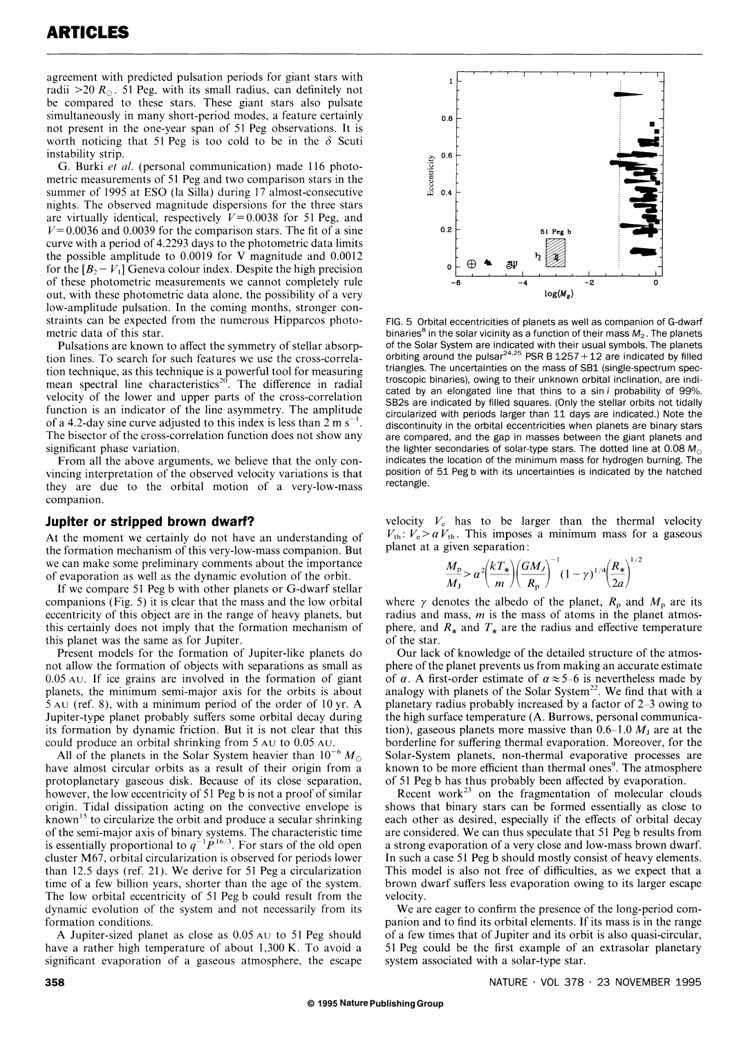agreement with predicted pulsation periods for giant stars with radii  $>$ 20  $R_{\odot}$ . 51 Peg, with its small radius, can definitely not be compared to these stars. These giant stars also pulsate simultaneously in many short-period modes, a feature certainly not present in the one-year span of 51 Peg observations. It is worth noticing that 51 Peg is too cold to be in the  $\delta$  Scuti instability strip.

G. Burki *et al.* (personal communication) made 116 photometric measurements of 51 Peg and two comparison stars in the summer of 1995 at ESO (la Silla) during 17 almost-consecutive nights. The observed magnitude dispersions for the three stars are virtually identical, respectively  $V = 0.0038$  for 51 Peg, and  $V = 0.0036$  and 0.0039 for the comparison stars. The fit of a sine curve with a period of 4.2293 days to the photometric data limits the possible amplitude to 0.0019 for V magnitude and 0.0012 for the  $[B_2 - V_1]$  Geneva colour index. Despite the high precision of these photometric measurements we cannot completely rule out, with these photometric data alone, the possibility of a very low-amplitude pulsation. In the coming months, stronger constraints can be expected from the numerous Hipparcos photometric data of this star.

Pulsations are known to affect the symmetry of stellar absorption lines. To search for such features we use the cross-correlation technique, as this technique is a powerful tool for measuring mean spectral line characteristics<sup>20</sup>. The difference in radial velocity of the lower and upper parts of the cross-correlation function is an indicator of the line asymmetry. The amplitude of a 4.2-day sine curve adjusted to this index is less than  $2 \text{ m s}^{-1}$ . The bisector of the cross-correlation function does not show any significant phase variation.

From all the above arguments, we believe that the only convincing interpretation of the observed velocity variations is that they are due to the orbital motion of a very-low-mass companion.

#### **Jupiter or stripped brown dwarf?**

At the moment we certainly do not have an understanding of the formation mechanism of this very-low-mass companion. But we can make some preliminary comments about the importance of evaporation as well as the dynamic evolution of the orbit.

If we compare 51 Peg b with other planets or G-dwarf stellar companions (Fig. 5) it is clear that the mass and the low orbital eccentricity of this object are in the range of heavy planets, but this certainly does not imply that the formation mechanism of this planet was the same as for Jupiter.

Present models for the formation of Jupiter-like planets do not allow the formation of objects with separations as small as 0.05 AU. If ice grains are involved in the formation of giant planets, the minimum semi-major axis for the orbits is about 5 AU (ref. 8), with a minimum period of the order of 10 yr. A Jupiter-type planet probably suffers some orbital decay during its formation by dynamic friction. But it is not clear that this could produce an orbital shrinking from 5 AU to 0.05 AU.

All of the planets in the Solar System heavier than  $10^{-6} M_{\odot}$ have almost circular orbits as a result of their origin from a protoplanetary gaseous disk. Because of its close separation, however, the low eccentricity of 51 Peg b is not a proof of similar origin. Tidal dissipation acting on the convective envelope is known<sup>15</sup> to circularize the orbit and produce a secular shrinking of the semi-major axis of binary systems. The characteristic time is essentially proportional to  $q^{-1}P^{16/3}$ . For stars of the old open cluster M67, orbital circularization is observed for periods lower than 12.5 days (ref. 21). We derive for 51 Peg a circularization time of a few billion years, shorter than the age of the system. The low orbital eccentricity of 51 Peg b could result from the dynamic evolution of the system and not necessarily from its formation conditions.

A Jupiter-sized planet as close as 0.05 AU to 51 Peg should have a rather high temperature of about 1,300 K. To avoid a significant evaporation of a gaseous atmosphere, the escape



FIG. 5 Orbital eccentricities of planets as well as companion of G-dwarf binaries<sup>8</sup> in the solar vicinity as a function of their mass  $M_2$ . The planets of the Solar System are indicated with their usual symbols. The planets orbiting around the pulsar<sup>24,25</sup> PSR B  $1257 + 12$  are indicated by filled triangles. The uncertainties on the mass of SB1 (single-spectrum spectroscopic binaries), owing to their unknown orbital inclination, are indicated by an elongated line that thins to a sin i probability of 99%. SB2s are indicated by filled squares. (Only the stellar orbits not tidally circularized with periods larger than 11 days are indicated.) Note the discontinuity in the orbital eccentricities when planets are binary stars are compared, and the gap in masses between the giant planets and the lighter secondaries of solar-type stars. The dotted line at 0.08  $M_{\odot}$ indicates the location of the minimum mass for hydrogen burning. The position of 51 Peg b with its uncertainties is indicated by the hatched rectangle.

velocity  $V_c$  has to be larger than the thermal velocity  $V_{\text{th}}$ :  $V_{\text{e}} > \alpha V_{\text{th}}$ . This imposes a minimum mass for a gaseous planet at a given separation:

$$
\frac{M_{\rm p}}{M_{\rm J}} > \alpha^2 \left(\frac{kT_*}{m}\right) \left(\frac{GM_J}{R_{\rm p}}\right)^{-1} (1-\gamma)^{1/4} \left(\frac{R_*}{2a}\right)^{1/2}
$$

where  $\gamma$  denotes the albedo of the planet,  $R_p$  and  $M_p$  are its radius and mass, *m* is the mass of atoms in the planet atmosphere, and  $R_*$  and  $T_*$  are the radius and effective temperature of the star.

Our lack of knowledge of the detailed structure of the atmosphere of the planet prevents us from making an accurate estimate of  $\alpha$ . A first-order estimate of  $\alpha \approx 5-6$  is nevertheless made by analogy with planets of the Solar System<sup>22</sup>. We find that with a planetary radius probably increased by a factor of 2-3 owing to the high surface temperature (A. Burrows, personal communication), gaseous planets more massive than  $0.6-1.0 M<sub>J</sub>$  are at the borderline for suffering thermal evaporation. Moreover, for the Solar-System planets, non-thermal evaporative processes are known to be more efficient than thermal ones<sup>9</sup>. The atmosphere of 51 Peg b has thus probably been affected by evaporation.

Recent work<sup>23</sup> on the fragmentation of molecular clouds shows that binary stars can be formed essentially as close to each other as desired, especially if the effects of orbital decay are considered. We can thus speculate that 51 Peg b results from a strong evaporation of a very close and low-mass brown dwarf. In such a case 51 Peg b should mostly consist of heavy elements. This model is also not free of difficulties, as we expect that a brown dwarf suffers less evaporation owing to its larger escape velocity.

We are eager to confirm the presence of the long-period companion and to find its orbital elements. If its mass is in the range of a few times that of Jupiter and its orbit is also quasi-circular, 51 Peg could be the first example of an extrasolar planetary system associated with a solar-type star.